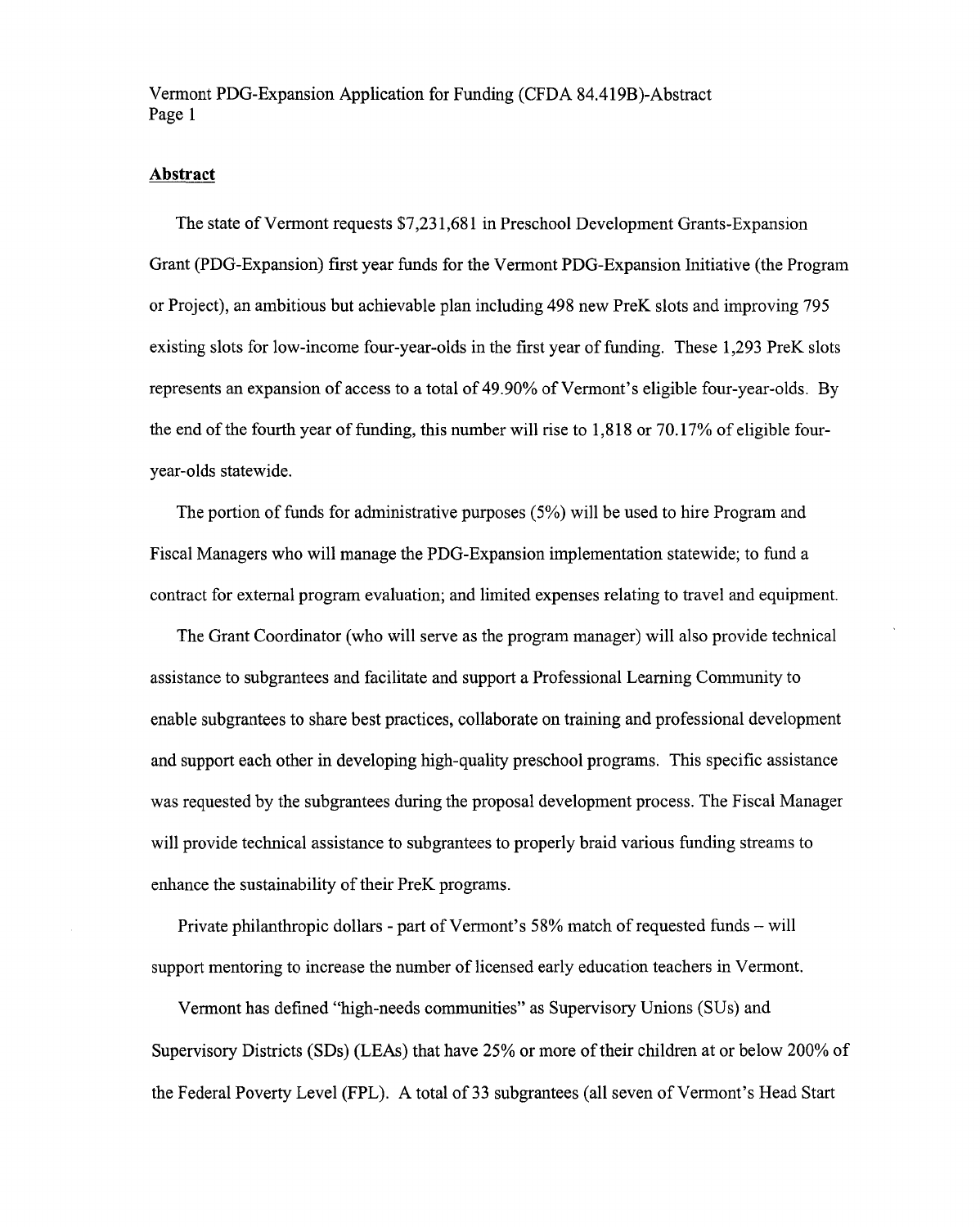Vermont PDG-Expansion Application for Funding (CFDA 84.419B)-Abstract Page 1

## Abstract

The state of Vermont requests \$7,231,681 in Preschool Development Grants-Expansion Grant (PDG-Expansion) first year funds for the Vermont PDG-Expansion Initiative (the Program or Project), an ambitious but achievable plan including 498 new PreK slots and improving 795 existing slots for low-income four-year-olds in the first year of funding. These 1,293 PreK slots represents an expansion of access to a total of 49.90% of Vermont's eligible four-year-olds. By the end of the fourth year of funding, this number will rise to 1,818 or 70.17% of eligible fouryear-olds statewide.

The portion of funds for administrative purposes (5%) will be used to hire Program and Fiscal Managers who will manage the PDG-Expansion implementation statewide; to fund a contract for external program evaluation; and limited expenses relating to travel and equipment.

The Grant Coordinator (who will serve as the program manager) will also provide technical assistance to subgrantees and facilitate and support a Professional Learning Community to enable subgrantees to share best practices, collaborate on training and professional development and support each other in developing high-quality preschool programs. This specific assistance was requested by the subgrantees during the proposal development process. The Fiscal Manager will provide technical assistance to subgrantees to properly braid various funding streams to enhance the sustainability of their PreK programs.

Private philanthropic dollars - part of Vermont's 58% match of requested funds — will support mentoring to increase the number of licensed early education teachers in Vermont.

Vermont has defined "high-needs communities" as Supervisory Unions (SUs) and Supervisory Districts (SDs) (LEAs) that have 25% or more of their children at or below 200% of the Federal Poverty Level (FPL). A total of 33 subgrantees (all seven of Vermont's Head Start